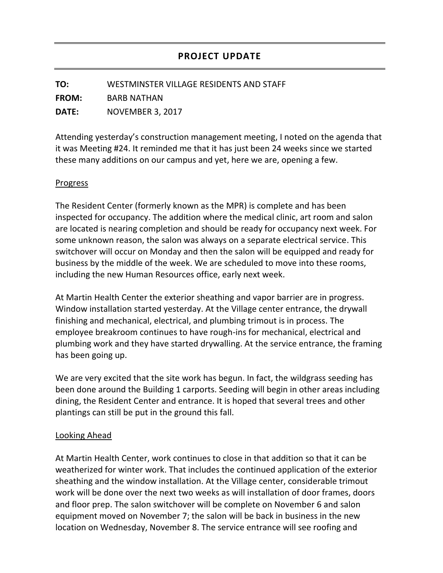**TO:** WESTMINSTER VILLAGE RESIDENTS AND STAFF

**FROM:** BARB NATHAN

**DATE:** NOVEMBER 3, 2017

Attending yesterday's construction management meeting, I noted on the agenda that it was Meeting #24. It reminded me that it has just been 24 weeks since we started these many additions on our campus and yet, here we are, opening a few.

## Progress

The Resident Center (formerly known as the MPR) is complete and has been inspected for occupancy. The addition where the medical clinic, art room and salon are located is nearing completion and should be ready for occupancy next week. For some unknown reason, the salon was always on a separate electrical service. This switchover will occur on Monday and then the salon will be equipped and ready for business by the middle of the week. We are scheduled to move into these rooms, including the new Human Resources office, early next week.

At Martin Health Center the exterior sheathing and vapor barrier are in progress. Window installation started yesterday. At the Village center entrance, the drywall finishing and mechanical, electrical, and plumbing trimout is in process. The employee breakroom continues to have rough-ins for mechanical, electrical and plumbing work and they have started drywalling. At the service entrance, the framing has been going up.

We are very excited that the site work has begun. In fact, the wildgrass seeding has been done around the Building 1 carports. Seeding will begin in other areas including dining, the Resident Center and entrance. It is hoped that several trees and other plantings can still be put in the ground this fall.

## Looking Ahead

At Martin Health Center, work continues to close in that addition so that it can be weatherized for winter work. That includes the continued application of the exterior sheathing and the window installation. At the Village center, considerable trimout work will be done over the next two weeks as will installation of door frames, doors and floor prep. The salon switchover will be complete on November 6 and salon equipment moved on November 7; the salon will be back in business in the new location on Wednesday, November 8. The service entrance will see roofing and